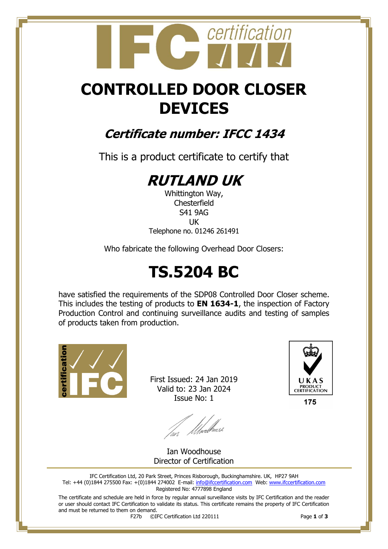## certification

## **CONTROLLED DOOR CLOSER DEVICES**

### **Certificate number: IFCC 1434**

This is a product certificate to certify that

## **RUTLAND UK**

Whittington Way, **Chesterfield** S41 9AG UK Telephone no. 01246 261491

Who fabricate the following Overhead Door Closers:

## **TS.5204 BC**

have satisfied the requirements of the SDP08 Controlled Door Closer scheme. This includes the testing of products to **EN 1634-1**, the inspection of Factory Production Control and continuing surveillance audits and testing of samples of products taken from production.



First Issued: 24 Jan 2019 Valid to: 23 Jan 2024 Issue No: 1



lan Moed<sup>house</sup>

Ian Woodhouse Director of Certification

IFC Certification Ltd, 20 Park Street, Princes Risborough, Buckinghamshire. UK, HP27 9AH Tel: +44 (0)1844 275500 Fax: +(0)1844 274002 E-mail[: info@ifccertification.com](mailto:info@ifccertification.com) Web: [www.ifccertification.com](http://www.ifccertification.com/) Registered No: 4777898 England

The certificate and schedule are held in force by regular annual surveillance visits by IFC Certification and the reader or user should contact IFC Certification to validate its status. This certificate remains the property of IFC Certification and must be returned to them on demand.<br> $F27b$   $\odot$ I

F27b ©IFC Certification Ltd 220111 Page **1** of **3**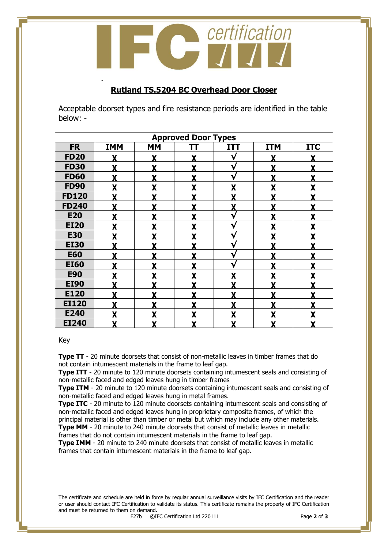certification

#### **Rutland TS.5204 BC Overhead Door Closer**

Acceptable doorset types and fire resistance periods are identified in the table below: -

| <b>Approved Door Types</b> |            |           |    |                           |            |            |  |  |
|----------------------------|------------|-----------|----|---------------------------|------------|------------|--|--|
| <b>FR</b>                  | <b>IMM</b> | <b>MM</b> | TΤ | <b>ITT</b>                | <b>ITM</b> | <b>ITC</b> |  |  |
| <b>FD20</b>                |            | Y         | X  | $\mathbf v$               | Y          |            |  |  |
| <b>FD30</b>                |            | v         |    | $\checkmark$              | v          |            |  |  |
| <b>FD60</b>                |            | v         |    | $\mathbf{v}$              | v          |            |  |  |
| <b>FD90</b>                | Y          | Y         | Y  | Y                         | Y          |            |  |  |
| <b>FD120</b>               | v          | v         | v  | v                         | v          |            |  |  |
| <b>FD240</b>               |            | Y         | Y  | Y                         | v          |            |  |  |
| <b>E20</b>                 | Y          | X         | Y  | $\mathbf v$               | Y          |            |  |  |
| <b>EI20</b>                | Y          | v         |    | $\mathbf{v}$              | v          |            |  |  |
| <b>E30</b>                 |            | v         |    | $\mathbf v$               | v          |            |  |  |
| <b>EI30</b>                |            | v         |    | $\mathbf v$               | v          |            |  |  |
| <b>E60</b>                 | Y          | Y         | Y  | $\mathbf v$               | Y          |            |  |  |
| <b>EI60</b>                | Y          | v         | Y  | $\mathbf v$               | v          |            |  |  |
| <b>E90</b>                 |            | v         | V  | v                         | v          |            |  |  |
| <b>EI90</b>                |            | v         | Y  | v                         | v          |            |  |  |
| E120                       |            | v         |    | v                         | v          |            |  |  |
| <b>EI120</b>               |            | v         |    | v                         | v          |            |  |  |
| E240                       |            |           |    |                           |            |            |  |  |
| <b>EI240</b>               | X          | v         | Y  | $\boldsymbol{\mathsf{X}}$ | Y          | χ          |  |  |

#### Key

-

**Type TT** - 20 minute doorsets that consist of non-metallic leaves in timber frames that do not contain intumescent materials in the frame to leaf gap.

**Type ITT** - 20 minute to 120 minute doorsets containing intumescent seals and consisting of non-metallic faced and edged leaves hung in timber frames

**Type ITM** - 20 minute to 120 minute doorsets containing intumescent seals and consisting of non-metallic faced and edged leaves hung in metal frames.

**Type ITC** - 20 minute to 120 minute doorsets containing intumescent seals and consisting of non-metallic faced and edged leaves hung in proprietary composite frames, of which the principal material is other than timber or metal but which may include any other materials.

**Type MM** - 20 minute to 240 minute doorsets that consist of metallic leaves in metallic frames that do not contain intumescent materials in the frame to leaf gap.

**Type IMM** - 20 minute to 240 minute doorsets that consist of metallic leaves in metallic frames that contain intumescent materials in the frame to leaf gap.

The certificate and schedule are held in force by regular annual surveillance visits by IFC Certification and the reader or user should contact IFC Certification to validate its status. This certificate remains the property of IFC Certification and must be returned to them on demand.<br> $F27b$   $\odot$ I

F27b ©IFC Certification Ltd 220111 Page **2** of **3**